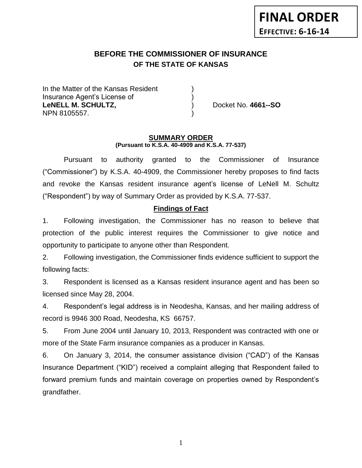# **BEFORE THE COMMISSIONER OF INSURANCE OF THE STATE OF KANSAS**

In the Matter of the Kansas Resident Insurance Agent's License of ) **LeNELL M. SCHULTZ,** ) Docket No. **4661--SO** NPN 8105557. )

#### **SUMMARY ORDER (Pursuant to K.S.A. 40-4909 and K.S.A. 77-537)**

Pursuant to authority granted to the Commissioner of Insurance ("Commissioner") by K.S.A. 40-4909, the Commissioner hereby proposes to find facts and revoke the Kansas resident insurance agent's license of LeNell M. Schultz ("Respondent") by way of Summary Order as provided by K.S.A. 77-537.

#### **Findings of Fact**

1. Following investigation, the Commissioner has no reason to believe that protection of the public interest requires the Commissioner to give notice and opportunity to participate to anyone other than Respondent.

2. Following investigation, the Commissioner finds evidence sufficient to support the following facts:

3. Respondent is licensed as a Kansas resident insurance agent and has been so licensed since May 28, 2004.

4. Respondent's legal address is in Neodesha, Kansas, and her mailing address of record is 9946 300 Road, Neodesha, KS 66757.

5. From June 2004 until January 10, 2013, Respondent was contracted with one or more of the State Farm insurance companies as a producer in Kansas.

6. On January 3, 2014, the consumer assistance division ("CAD") of the Kansas Insurance Department ("KID") received a complaint alleging that Respondent failed to forward premium funds and maintain coverage on properties owned by Respondent's grandfather.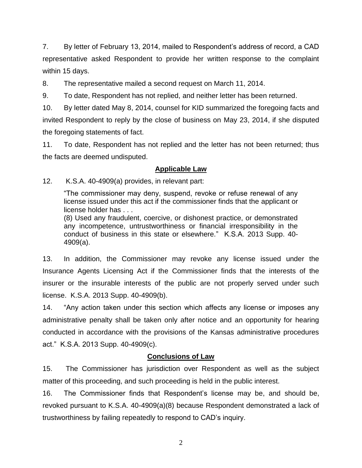7. By letter of February 13, 2014, mailed to Respondent's address of record, a CAD representative asked Respondent to provide her written response to the complaint within 15 days.

8. The representative mailed a second request on March 11, 2014.

9. To date, Respondent has not replied, and neither letter has been returned.

10. By letter dated May 8, 2014, counsel for KID summarized the foregoing facts and invited Respondent to reply by the close of business on May 23, 2014, if she disputed the foregoing statements of fact.

11. To date, Respondent has not replied and the letter has not been returned; thus the facts are deemed undisputed.

# **Applicable Law**

12. K.S.A. 40-4909(a) provides, in relevant part:

"The commissioner may deny, suspend, revoke or refuse renewal of any license issued under this act if the commissioner finds that the applicant or license holder has . . .

(8) Used any fraudulent, coercive, or dishonest practice, or demonstrated any incompetence, untrustworthiness or financial irresponsibility in the conduct of business in this state or elsewhere." K.S.A. 2013 Supp. 40- 4909(a).

13. In addition, the Commissioner may revoke any license issued under the Insurance Agents Licensing Act if the Commissioner finds that the interests of the insurer or the insurable interests of the public are not properly served under such license. K.S.A. 2013 Supp. 40-4909(b).

14. "Any action taken under this section which affects any license or imposes any administrative penalty shall be taken only after notice and an opportunity for hearing conducted in accordance with the provisions of the Kansas administrative procedures act." K.S.A. 2013 Supp. 40-4909(c).

# **Conclusions of Law**

15. The Commissioner has jurisdiction over Respondent as well as the subject matter of this proceeding, and such proceeding is held in the public interest.

16. The Commissioner finds that Respondent's license may be, and should be, revoked pursuant to K.S.A. 40-4909(a)(8) because Respondent demonstrated a lack of trustworthiness by failing repeatedly to respond to CAD's inquiry.

2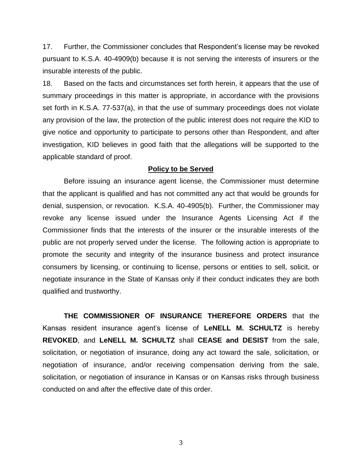17. Further, the Commissioner concludes that Respondent's license may be revoked pursuant to K.S.A. 40-4909(b) because it is not serving the interests of insurers or the insurable interests of the public.

18. Based on the facts and circumstances set forth herein, it appears that the use of summary proceedings in this matter is appropriate, in accordance with the provisions set forth in K.S.A. 77-537(a), in that the use of summary proceedings does not violate any provision of the law, the protection of the public interest does not require the KID to give notice and opportunity to participate to persons other than Respondent, and after investigation, KID believes in good faith that the allegations will be supported to the applicable standard of proof.

#### **Policy to be Served**

Before issuing an insurance agent license, the Commissioner must determine that the applicant is qualified and has not committed any act that would be grounds for denial, suspension, or revocation. K.S.A. 40-4905(b). Further, the Commissioner may revoke any license issued under the Insurance Agents Licensing Act if the Commissioner finds that the interests of the insurer or the insurable interests of the public are not properly served under the license. The following action is appropriate to promote the security and integrity of the insurance business and protect insurance consumers by licensing, or continuing to license, persons or entities to sell, solicit, or negotiate insurance in the State of Kansas only if their conduct indicates they are both qualified and trustworthy.

**THE COMMISSIONER OF INSURANCE THEREFORE ORDERS** that the Kansas resident insurance agent's license of **LeNELL M. SCHULTZ** is hereby **REVOKED**, and **LeNELL M. SCHULTZ** shall **CEASE and DESIST** from the sale, solicitation, or negotiation of insurance, doing any act toward the sale, solicitation, or negotiation of insurance, and/or receiving compensation deriving from the sale, solicitation, or negotiation of insurance in Kansas or on Kansas risks through business conducted on and after the effective date of this order.

3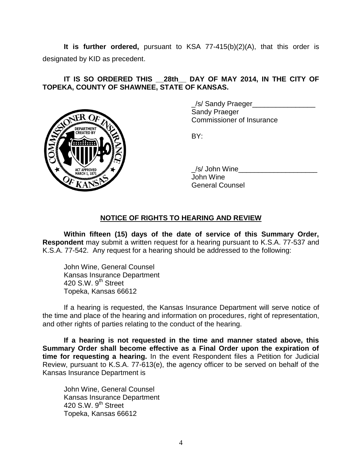**It is further ordered,** pursuant to KSA 77-415(b)(2)(A), that this order is designated by KID as precedent.

# **IT IS SO ORDERED THIS \_\_28th\_\_ DAY OF MAY 2014, IN THE CITY OF TOPEKA, COUNTY OF SHAWNEE, STATE OF KANSAS.**



\_/s/ Sandy Praeger\_\_\_\_\_\_\_\_\_\_\_\_\_\_\_\_ Sandy Praeger Commissioner of Insurance

BY:

/s/ John Wine John Wine General Counsel

# **NOTICE OF RIGHTS TO HEARING AND REVIEW**

**Within fifteen (15) days of the date of service of this Summary Order, Respondent** may submit a written request for a hearing pursuant to K.S.A. 77-537 and K.S.A. 77-542. Any request for a hearing should be addressed to the following:

John Wine, General Counsel Kansas Insurance Department 420 S.W.  $9<sup>th</sup>$  Street Topeka, Kansas 66612

If a hearing is requested, the Kansas Insurance Department will serve notice of the time and place of the hearing and information on procedures, right of representation, and other rights of parties relating to the conduct of the hearing.

**If a hearing is not requested in the time and manner stated above, this Summary Order shall become effective as a Final Order upon the expiration of time for requesting a hearing.** In the event Respondent files a Petition for Judicial Review, pursuant to K.S.A. 77-613(e), the agency officer to be served on behalf of the Kansas Insurance Department is

John Wine, General Counsel Kansas Insurance Department 420 S.W.  $9<sup>th</sup>$  Street Topeka, Kansas 66612